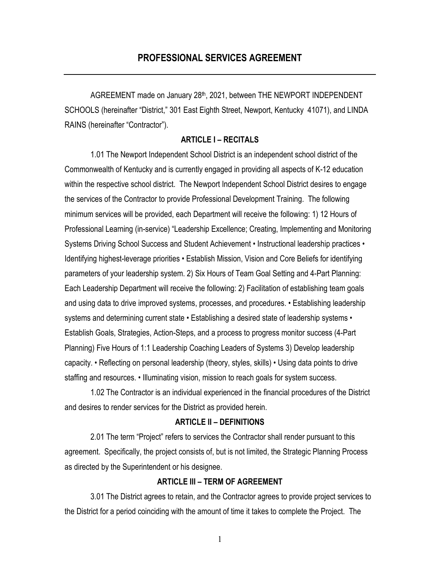AGREEMENT made on January 28th, 2021, between THE NEWPORT INDEPENDENT SCHOOLS (hereinafter "District," 301 East Eighth Street, Newport, Kentucky 41071), and LINDA RAINS (hereinafter "Contractor").

### **ARTICLE I – RECITALS**

1.01 The Newport Independent School District is an independent school district of the Commonwealth of Kentucky and is currently engaged in providing all aspects of K-12 education within the respective school district. The Newport Independent School District desires to engage the services of the Contractor to provide Professional Development Training. The following minimum services will be provided, each Department will receive the following: 1) 12 Hours of Professional Learning (in-service) "Leadership Excellence; Creating, Implementing and Monitoring Systems Driving School Success and Student Achievement • Instructional leadership practices • Identifying highest-leverage priorities • Establish Mission, Vision and Core Beliefs for identifying parameters of your leadership system. 2) Six Hours of Team Goal Setting and 4-Part Planning: Each Leadership Department will receive the following: 2) Facilitation of establishing team goals and using data to drive improved systems, processes, and procedures. • Establishing leadership systems and determining current state • Establishing a desired state of leadership systems • Establish Goals, Strategies, Action-Steps, and a process to progress monitor success (4-Part Planning) Five Hours of 1:1 Leadership Coaching Leaders of Systems 3) Develop leadership capacity. • Reflecting on personal leadership (theory, styles, skills) • Using data points to drive staffing and resources. • Illuminating vision, mission to reach goals for system success.

1.02 The Contractor is an individual experienced in the financial procedures of the District and desires to render services for the District as provided herein.

#### **ARTICLE II – DEFINITIONS**

2.01 The term "Project" refers to services the Contractor shall render pursuant to this agreement. Specifically, the project consists of, but is not limited, the Strategic Planning Process as directed by the Superintendent or his designee.

### **ARTICLE III – TERM OF AGREEMENT**

3.01 The District agrees to retain, and the Contractor agrees to provide project services to the District for a period coinciding with the amount of time it takes to complete the Project. The

1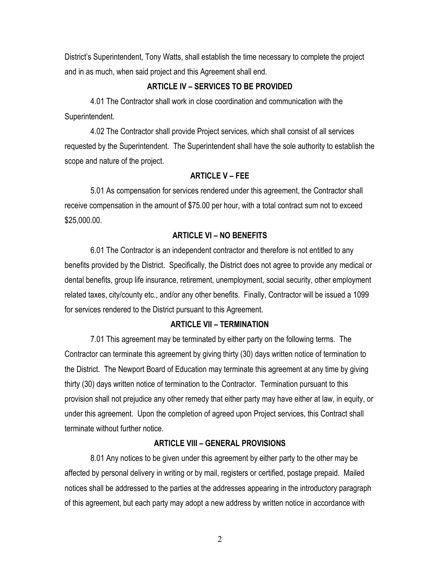District's Superintendent, Tony Watts, shall establish the time necessary to complete the project and in as much, when said project and this Agreement shall end.

# **ARTICLE IV – SERVICES TO BE PROVIDED**

4.01 The Contractor shall work in close coordination and communication with the Superintendent.

4.02 The Contractor shall provide Project services, which shall consist of all services requested by the Superintendent. The Superintendent shall have the sole authority to establish the scope and nature of the project.

### **ARTICLE V – FEE**

5.01 As compensation for services rendered under this agreement, the Contractor shall receive compensation in the amount of \$75.00 per hour, with a total contract sum not to exceed \$25,000.00.

### **ARTICLE VI – NO BENEFITS**

6.01 The Contractor is an independent contractor and therefore is not entitled to any benefits provided by the District. Specifically, the District does not agree to provide any medical or dental benefits, group life insurance, retirement, unemployment, social security, other employment related taxes, city/county etc., and/or any other benefits. Finally, Contractor will be issued a 1099 for services rendered to the District pursuant to this Agreement.

# **ARTICLE VII – TERMINATION**

7.01 This agreement may be terminated by either party on the following terms. The Contractor can terminate this agreement by giving thirty (30) days written notice of termination to the District. The Newport Board of Education may terminate this agreement at any time by giving thirty (30) days written notice of termination to the Contractor. Termination pursuant to this provision shall not prejudice any other remedy that either party may have either at law, in equity, or under this agreement. Upon the completion of agreed upon Project services, this Contract shall terminate without further notice.

#### **ARTICLE VIII – GENERAL PROVISIONS**

8.01 Any notices to be given under this agreement by either party to the other may be affected by personal delivery in writing or by mail, registers or certified, postage prepaid. Mailed notices shall be addressed to the parties at the addresses appearing in the introductory paragraph of this agreement, but each party may adopt a new address by written notice in accordance with

2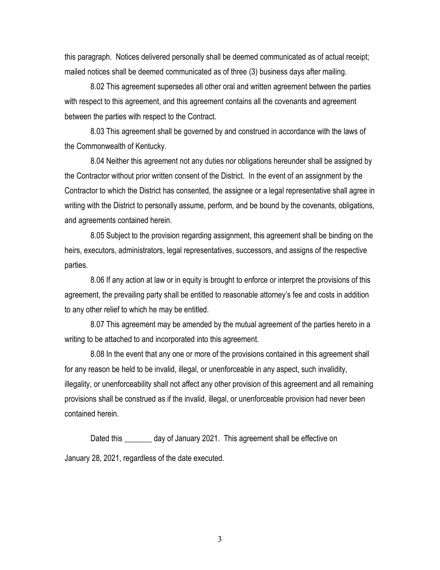this paragraph. Notices delivered personally shall be deemed communicated as of actual receipt; mailed notices shall be deemed communicated as of three (3) business days after mailing.

8.02 This agreement supersedes all other oral and written agreement between the parties with respect to this agreement, and this agreement contains all the covenants and agreement between the parties with respect to the Contract.

8.03 This agreement shall be governed by and construed in accordance with the laws of the Commonwealth of Kentucky.

8.04 Neither this agreement not any duties nor obligations hereunder shall be assigned by the Contractor without prior written consent of the District. In the event of an assignment by the Contractor to which the District has consented, the assignee or a legal representative shall agree in writing with the District to personally assume, perform, and be bound by the covenants, obligations, and agreements contained herein.

8.05 Subject to the provision regarding assignment, this agreement shall be binding on the heirs, executors, administrators, legal representatives, successors, and assigns of the respective parties.

8.06 If any action at law or in equity is brought to enforce or interpret the provisions of this agreement, the prevailing party shall be entitled to reasonable attorney's fee and costs in addition to any other relief to which he may be entitled.

8.07 This agreement may be amended by the mutual agreement of the parties hereto in a writing to be attached to and incorporated into this agreement.

8.08 In the event that any one or more of the provisions contained in this agreement shall for any reason be held to be invalid, illegal, or unenforceable in any aspect, such invalidity, illegality, or unenforceability shall not affect any other provision of this agreement and all remaining provisions shall be construed as if the invalid, illegal, or unenforceable provision had never been contained herein.

Dated this day of January 2021. This agreement shall be effective on January 28, 2021, regardless of the date executed.

3